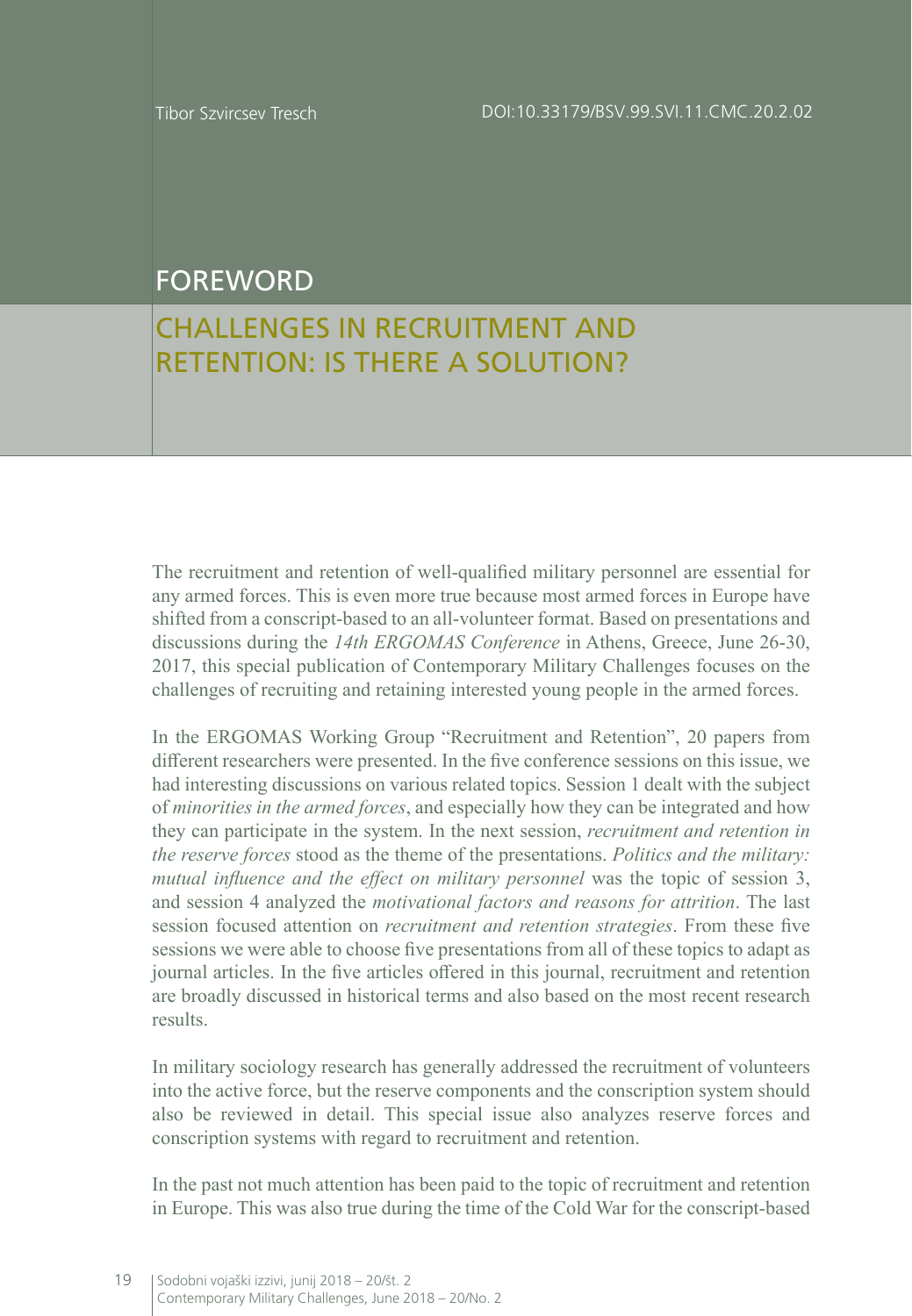## FOREWORD

## CHALLENGES IN RECRUITMENT AND RETENTION: IS THERE A SOLUTION?

The recruitment and retention of well-qualified military personnel are essential for any armed forces. This is even more true because most armed forces in Europe have shifted from a conscript-based to an all-volunteer format. Based on presentations and discussions during the *14th ERGOMAS Conference* in Athens, Greece, June 26-30, 2017, this special publication of Contemporary Military Challenges focuses on the challenges of recruiting and retaining interested young people in the armed forces.

In the ERGOMAS Working Group "Recruitment and Retention", 20 papers from different researchers were presented. In the five conference sessions on this issue, we had interesting discussions on various related topics. Session 1 dealt with the subject of *minorities in the armed forces*, and especially how they can be integrated and how they can participate in the system. In the next session, *recruitment and retention in the reserve forces* stood as the theme of the presentations. *Politics and the military: mutual influence and the effect on military personnel* was the topic of session 3, and session 4 analyzed the *motivational factors and reasons for attrition*. The last session focused attention on *recruitment and retention strategies*. From these five sessions we were able to choose five presentations from all of these topics to adapt as journal articles. In the five articles offered in this journal, recruitment and retention are broadly discussed in historical terms and also based on the most recent research results.

In military sociology research has generally addressed the recruitment of volunteers into the active force, but the reserve components and the conscription system should also be reviewed in detail. This special issue also analyzes reserve forces and conscription systems with regard to recruitment and retention.

In the past not much attention has been paid to the topic of recruitment and retention in Europe. This was also true during the time of the Cold War for the conscript-based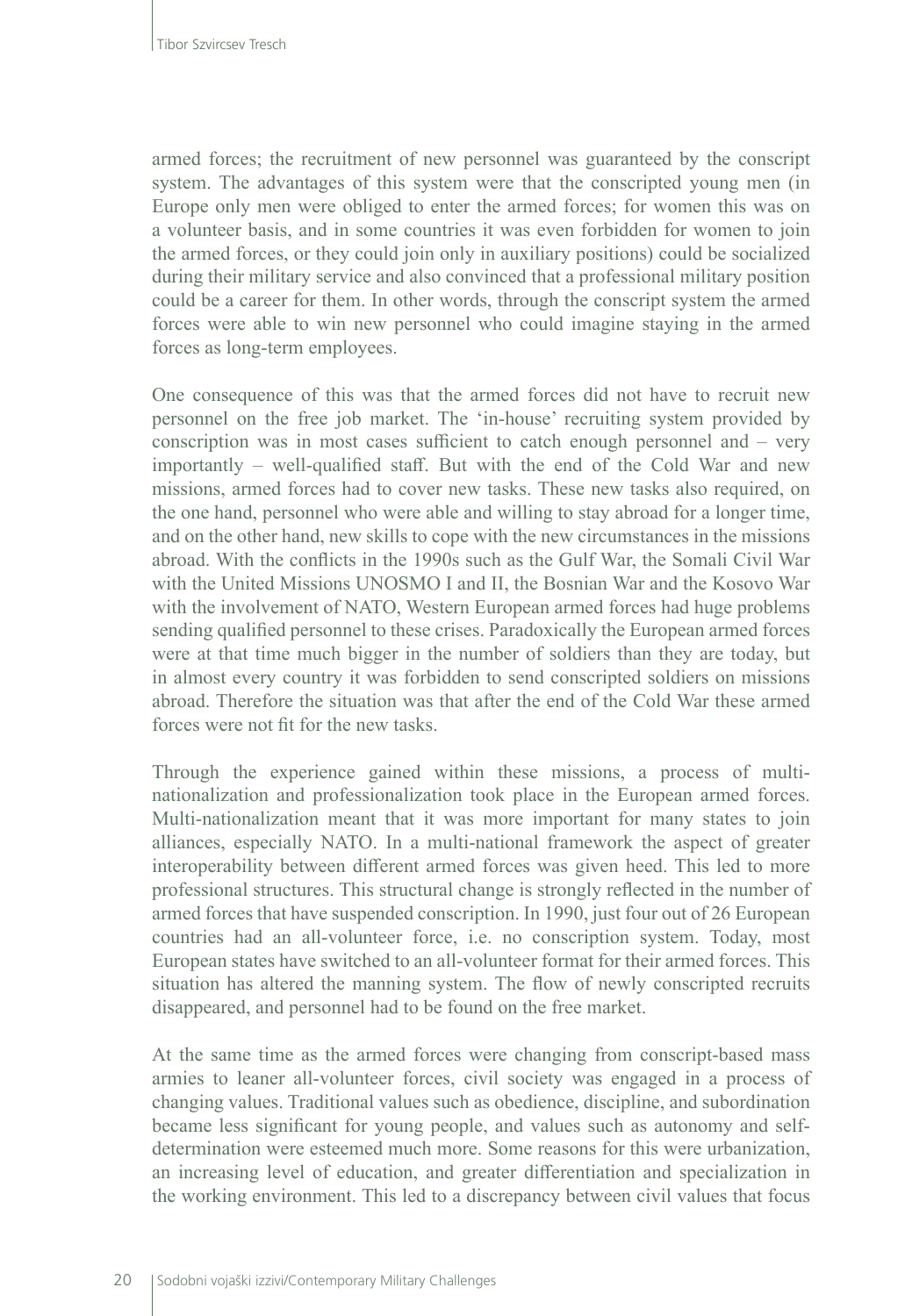armed forces; the recruitment of new personnel was guaranteed by the conscript system. The advantages of this system were that the conscripted young men (in Europe only men were obliged to enter the armed forces; for women this was on a volunteer basis, and in some countries it was even forbidden for women to join the armed forces, or they could join only in auxiliary positions) could be socialized during their military service and also convinced that a professional military position could be a career for them. In other words, through the conscript system the armed forces were able to win new personnel who could imagine staying in the armed forces as long-term employees.

One consequence of this was that the armed forces did not have to recruit new personnel on the free job market. The 'in-house' recruiting system provided by conscription was in most cases sufficient to catch enough personnel and – very importantly – well-qualified staff. But with the end of the Cold War and new missions, armed forces had to cover new tasks. These new tasks also required, on the one hand, personnel who were able and willing to stay abroad for a longer time, and on the other hand, new skills to cope with the new circumstances in the missions abroad. With the conflicts in the 1990s such as the Gulf War, the Somali Civil War with the United Missions UNOSMO I and II, the Bosnian War and the Kosovo War with the involvement of NATO, Western European armed forces had huge problems sending qualified personnel to these crises. Paradoxically the European armed forces were at that time much bigger in the number of soldiers than they are today, but in almost every country it was forbidden to send conscripted soldiers on missions abroad. Therefore the situation was that after the end of the Cold War these armed forces were not fit for the new tasks.

Through the experience gained within these missions, a process of multinationalization and professionalization took place in the European armed forces. Multi-nationalization meant that it was more important for many states to join alliances, especially NATO. In a multi-national framework the aspect of greater interoperability between different armed forces was given heed. This led to more professional structures. This structural change is strongly reflected in the number of armed forces that have suspended conscription. In 1990, just four out of 26 European countries had an all-volunteer force, i.e. no conscription system. Today, most European states have switched to an all-volunteer format for their armed forces. This situation has altered the manning system. The flow of newly conscripted recruits disappeared, and personnel had to be found on the free market.

At the same time as the armed forces were changing from conscript-based mass armies to leaner all-volunteer forces, civil society was engaged in a process of changing values. Traditional values such as obedience, discipline, and subordination became less significant for young people, and values such as autonomy and selfdetermination were esteemed much more. Some reasons for this were urbanization, an increasing level of education, and greater differentiation and specialization in the working environment. This led to a discrepancy between civil values that focus